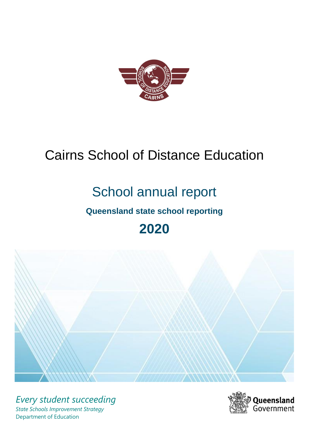

# Cairns School of Distance Education

# School annual report

## **Queensland state school reporting**

## **2020**



*Every student succeeding State Schools Improvement Strategy* Department of Education

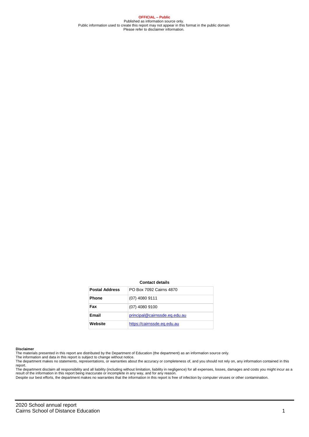**OFFICIAL – Public** Published as information source only. Public information used to create this report may not appear in this format in the public domain Please refer to disclaimer information.

#### **Contact details**

| <b>Postal Address</b> | PO Box 7092 Cairns 4870       |
|-----------------------|-------------------------------|
| <b>Phone</b>          | $(07)$ 4080 9111              |
| Fax                   | $(07)$ 4080 9100              |
| <b>Email</b>          | principal@cairnssde.eq.edu.au |
| Website               | https://cairnssde.eq.edu.au   |

#### **Disclaimer**

The materials presented in this report are distributed by the Department of Education (the department) as an information source only. The information and data in this report is subject to change without notice.

The department makes no statements, representations, or warranties about the accuracy or completeness of, and you should not rely on, any information contained in this

report.<br>The department disclaim all responsibility and all liability (including without limitation, liability in negligence) for all expenses, losses, damages and costs you might incur as a<br>result of the information in thi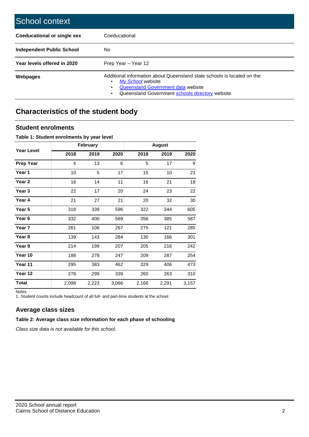| School context                     |                                                                                                                                                                                         |  |  |  |  |
|------------------------------------|-----------------------------------------------------------------------------------------------------------------------------------------------------------------------------------------|--|--|--|--|
| <b>Coeducational or single sex</b> | Coeducational                                                                                                                                                                           |  |  |  |  |
| <b>Independent Public School</b>   | No.                                                                                                                                                                                     |  |  |  |  |
| Year levels offered in 2020        | Prep Year - Year 12                                                                                                                                                                     |  |  |  |  |
| <b>Webpages</b>                    | Additional information about Queensland state schools is located on the:<br>My School website<br>Queensland Government data website<br>Queensland Government schools directory website. |  |  |  |  |

## **Characteristics of the student body**

#### **Student enrolments**

#### **Table 1: Student enrolments by year level**

|                   |       | February |       |       | <b>August</b> |       |
|-------------------|-------|----------|-------|-------|---------------|-------|
| <b>Year Level</b> | 2018  | 2019     | 2020  | 2018  | 2019          | 2020  |
| <b>Prep Year</b>  | 4     | 13       | 6     | 5     | 17            | 9     |
| Year 1            | 10    | 5        | 17    | 15    | 10            | 21    |
| Year 2            | 16    | 14       | 11    | 16    | 21            | 18    |
| Year 3            | 22    | 17       | 20    | 24    | 23            | 22    |
| Year 4            | 21    | 27       | 21    | 20    | 32            | 30    |
| Year 5            | 318   | 339      | 596   | 322   | 344           | 605   |
| Year 6            | 332   | 400      | 589   | 356   | 385           | 587   |
| Year 7            | 261   | 106      | 267   | 275   | 121           | 285   |
| Year 8            | 139   | 143      | 284   | 130   | 166           | 301   |
| Year 9            | 214   | 199      | 207   | 205   | 216           | 242   |
| Year 10           | 188   | 278      | 247   | 209   | 287           | 254   |
| Year 11           | 295   | 383      | 462   | 329   | 406           | 473   |
| Year 12           | 278   | 299      | 339   | 260   | 263           | 310   |
| <b>Total</b>      | 2,098 | 2,223    | 3,066 | 2,166 | 2,291         | 3,157 |

Notes

1. Student counts include headcount of all full- and part-time students at the school.

#### **Average class sizes**

#### **Table 2: Average class size information for each phase of schooling**

*Class size data is not available for this school.*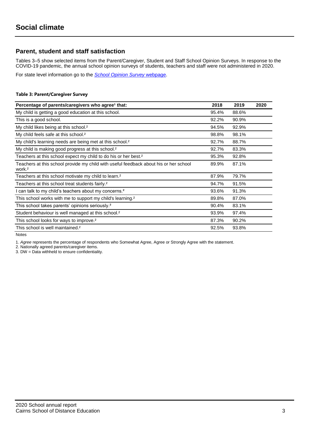### **Parent, student and staff satisfaction**

Tables 3–5 show selected items from the Parent/Caregiver, Student and Staff School Opinion Surveys. In response to the COVID-19 pandemic, the annual school opinion surveys of students, teachers and staff were not administered in 2020.

For state level information go to the *[School Opinion Survey](https://qed.qld.gov.au/publications/reports/statistics/schooling/schools/schoolopinionsurvey)* [webpage.](https://qed.qld.gov.au/publications/reports/statistics/schooling/schools/schoolopinionsurvey)

#### **Table 3: Parent/Caregiver Survey**

| Percentage of parents/caregivers who agree <sup>1</sup> that:                                               | 2018  | 2019  | 2020 |
|-------------------------------------------------------------------------------------------------------------|-------|-------|------|
| My child is getting a good education at this school.                                                        | 95.4% | 88.6% |      |
| This is a good school.                                                                                      | 92.2% | 90.9% |      |
| My child likes being at this school. <sup>2</sup>                                                           | 94.5% | 92.9% |      |
| My child feels safe at this school. <sup>2</sup>                                                            | 98.8% | 98.1% |      |
| My child's learning needs are being met at this school. <sup>2</sup>                                        | 92.7% | 88.7% |      |
| My child is making good progress at this school. <sup>2</sup>                                               | 92.7% | 83.3% |      |
| Teachers at this school expect my child to do his or her best. <sup>2</sup>                                 | 95.3% | 92.8% |      |
| Teachers at this school provide my child with useful feedback about his or her school<br>work. <sup>2</sup> | 89.9% | 87.1% |      |
| Teachers at this school motivate my child to learn. <sup>2</sup>                                            | 87.9% | 79.7% |      |
| Teachers at this school treat students fairly. <sup>2</sup>                                                 | 94.7% | 91.5% |      |
| I can talk to my child's teachers about my concerns. <sup>2</sup>                                           | 93.6% | 91.3% |      |
| This school works with me to support my child's learning. <sup>2</sup>                                      | 89.8% | 87.0% |      |
| This school takes parents' opinions seriously. <sup>2</sup>                                                 | 90.4% | 83.1% |      |
| Student behaviour is well managed at this school. <sup>2</sup>                                              | 93.9% | 97.4% |      |
| This school looks for ways to improve. <sup>2</sup>                                                         | 87.3% | 90.2% |      |
| This school is well maintained. <sup>2</sup>                                                                | 92.5% | 93.8% |      |

Notes

1. *Agree* represents the percentage of respondents who Somewhat Agree, Agree or Strongly Agree with the statement.

2. Nationally agreed parents/caregiver items.

3. DW = Data withheld to ensure confidentiality.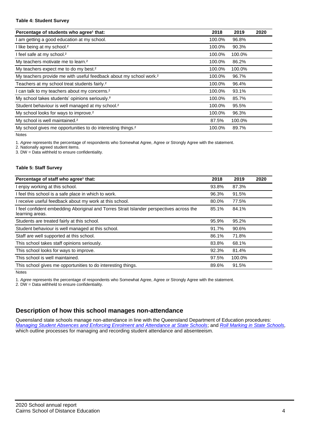#### **Table 4: Student Survey**

| Percentage of students who agree <sup>1</sup> that:                            | 2018   | 2019   | 2020 |
|--------------------------------------------------------------------------------|--------|--------|------|
| am getting a good education at my school.                                      | 100.0% | 96.8%  |      |
| I like being at my school. <sup>2</sup>                                        | 100.0% | 90.3%  |      |
| I feel safe at my school. <sup>2</sup>                                         | 100.0% | 100.0% |      |
| My teachers motivate me to learn. <sup>2</sup>                                 | 100.0% | 86.2%  |      |
| My teachers expect me to do my best. <sup>2</sup>                              | 100.0% | 100.0% |      |
| My teachers provide me with useful feedback about my school work. <sup>2</sup> | 100.0% | 96.7%  |      |
| Teachers at my school treat students fairly. <sup>2</sup>                      | 100.0% | 96.4%  |      |
| can talk to my teachers about my concerns. <sup>2</sup>                        | 100.0% | 93.1%  |      |
| My school takes students' opinions seriously. <sup>2</sup>                     | 100.0% | 85.7%  |      |
| Student behaviour is well managed at my school. <sup>2</sup>                   | 100.0% | 95.5%  |      |
| My school looks for ways to improve. <sup>2</sup>                              | 100.0% | 96.3%  |      |
| My school is well maintained. <sup>2</sup>                                     | 87.5%  | 100.0% |      |
| My school gives me opportunities to do interesting things. <sup>2</sup>        | 100.0% | 89.7%  |      |

Notes

1. *Agree* represents the percentage of respondents who Somewhat Agree, Agree or Strongly Agree with the statement.

2. Nationally agreed student items.

3. DW = Data withheld to ensure confidentiality.

#### **Table 5: Staff Survey**

| Percentage of staff who agree <sup>1</sup> that:                                                            | 2018  | 2019   | 2020 |
|-------------------------------------------------------------------------------------------------------------|-------|--------|------|
| I enjoy working at this school.                                                                             | 93.8% | 87.3%  |      |
| I feel this school is a safe place in which to work.                                                        | 96.3% | 91.5%  |      |
| I receive useful feedback about my work at this school.                                                     | 80.0% | 77.5%  |      |
| I feel confident embedding Aboriginal and Torres Strait Islander perspectives across the<br>learning areas. | 85.1% | 84.1%  |      |
| Students are treated fairly at this school.                                                                 | 95.9% | 95.2%  |      |
| Student behaviour is well managed at this school.                                                           | 91.7% | 90.6%  |      |
| Staff are well supported at this school.                                                                    | 86.1% | 71.8%  |      |
| This school takes staff opinions seriously.                                                                 | 83.8% | 68.1%  |      |
| This school looks for ways to improve.                                                                      | 92.3% | 81.4%  |      |
| This school is well maintained.                                                                             | 97.5% | 100.0% |      |
| This school gives me opportunities to do interesting things.                                                | 89.6% | 91.5%  |      |

Notes

1. *Agree* represents the percentage of respondents who Somewhat Agree, Agree or Strongly Agree with the statement.

2. DW = Data withheld to ensure confidentiality.

#### **Description of how this school manages non-attendance**

Queensland state schools manage non-attendance in line with the Queensland Department of Education procedures: *[Managing Student Absences and Enforcing Enrolment and Attendance at State Schools](https://ppr.qed.qld.gov.au/pp/managing-student-absences-and-enforcing-enrolment-and-attendance-at-state-schools-procedure)*; and *[Roll Marking in State Schools,](https://ppr.qed.qld.gov.au/pp/roll-marking-in-state-schools-procedure)* which outline processes for managing and recording student attendance and absenteeism.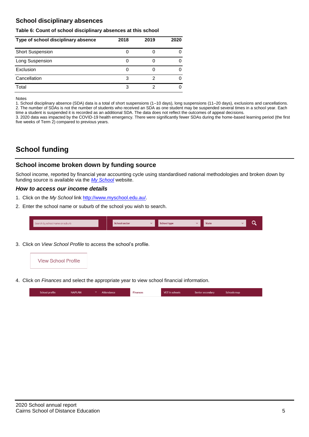### **School disciplinary absences**

#### **Table 6: Count of school disciplinary absences at this school**

| Type of school disciplinary absence | 2018 | 2019 | 2020 |
|-------------------------------------|------|------|------|
| <b>Short Suspension</b>             |      |      |      |
| Long Suspension                     |      |      |      |
| Exclusion                           |      |      |      |
| Cancellation                        | 3    |      |      |
| Total                               | 3    |      |      |

#### Notes

1. School disciplinary absence (SDA) data is a total of short suspensions (1–10 days), long suspensions (11–20 days), exclusions and cancellations. 2. The number of SDAs is not the number of students who received an SDA as one student may be suspended several times in a school year. Each time a student is suspended it is recorded as an additional SDA. The data does not reflect the outcomes of appeal decisions.

3. 2020 data was impacted by the COVID-19 health emergency. There were significantly fewer SDAs during the home-based learning period (the first five weeks of Term 2) compared to previous years.

## **School funding**

#### **School income broken down by funding source**

School income, reported by financial year accounting cycle using standardised national methodologies and broken down by funding source is available via the *[My School](http://www.myschool.edu.au/)* website.

#### *How to access our income details*

- 1. Click on the *My School* link [http://www.myschool.edu.au/.](http://www.myschool.edu.au/)
- 2. Enter the school name or suburb of the school you wish to search.

| Search by school name or suburb | <b>School sector</b> | <b>School type</b> | <b>State</b> |  |
|---------------------------------|----------------------|--------------------|--------------|--|
|                                 |                      |                    |              |  |

3. Click on *View School Profile* to access the school's profile.



4. Click on *Finances* and select the appropriate year to view school financial information.

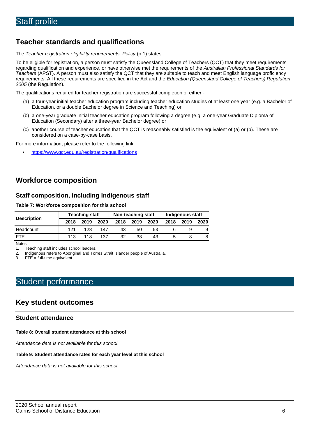## **Teacher standards and qualifications**

The *Teacher registration eligibility requirements: Policy* (p.1) states:

To be eligible for registration, a person must satisfy the Queensland College of Teachers (QCT) that they meet requirements regarding qualification and experience, or have otherwise met the requirements of the *Australian Professional Standards for Teachers* (APST). A person must also satisfy the QCT that they are suitable to teach and meet English language proficiency requirements. All these requirements are specified in the Act and the *Education (Queensland College of Teachers) Regulation 2005* (the Regulation).

The qualifications required for teacher registration are successful completion of either -

- (a) a four-year initial teacher education program including teacher education studies of at least one year (e.g. a Bachelor of Education, or a double Bachelor degree in Science and Teaching) or
- (b) a one-year graduate initial teacher education program following a degree (e.g. a one-year Graduate Diploma of Education (Secondary) after a three-year Bachelor degree) or
- (c) another course of teacher education that the QCT is reasonably satisfied is the equivalent of (a) or (b). These are considered on a case-by-case basis.

For more information, please refer to the following link:

• <https://www.qct.edu.au/registration/qualifications>

## **Workforce composition**

#### **Staff composition, including Indigenous staff**

#### **Table 7: Workforce composition for this school**

|                    |      | <b>Teaching staff</b> |      |      | Non-teaching staff |      | Indigenous staff |      |      |  |
|--------------------|------|-----------------------|------|------|--------------------|------|------------------|------|------|--|
| <b>Description</b> | 2018 | 2019                  | 2020 | 2018 | 2019               | 2020 | 2018             | 2019 | 2020 |  |
| Headcount          | 121  | 128                   | 147  | 43   | 50                 | 53   |                  |      |      |  |
| <b>FTE</b>         | 113  | 118                   | 137  | 32   | 38                 | 43   |                  |      | 8    |  |

Notes

1. Teaching staff includes school leaders.<br>2. Indigenous refers to Aboriginal and Tor

2. Indigenous refers to Aboriginal and Torres Strait Islander people of Australia.<br>3. FTE = full-time equivalent

 $FTE = full-time equivalent$ 

## Student performance

### **Key student outcomes**

#### **Student attendance**

#### **Table 8: Overall student attendance at this school**

*Attendance data is not available for this school.*

#### **Table 9: Student attendance rates for each year level at this school**

*Attendance data is not available for this school.*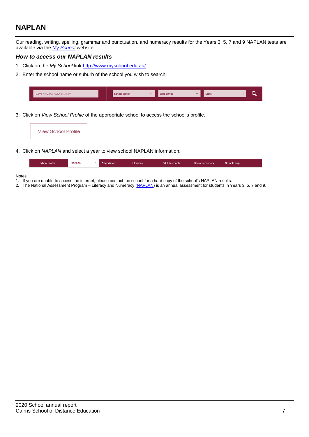## **NAPLAN**

Our reading, writing, spelling, grammar and punctuation, and numeracy results for the Years 3, 5, 7 and 9 NAPLAN tests are available via the *[My School](http://www.myschool.edu.au/)* website.

#### *How to access our NAPLAN results*

- 1. Click on the *My School* link [http://www.myschool.edu.au/.](http://www.myschool.edu.au/)
- 2. Enter the school name or suburb of the school you wish to search.

| Search by school name or suburb | <b>School sector</b> | chool type | <b>State</b> |  |
|---------------------------------|----------------------|------------|--------------|--|
|                                 |                      |            |              |  |

3. Click on *View School Profile* of the appropriate school to access the school's profile.

| <b>View School Profile</b> |                                                                                |  |
|----------------------------|--------------------------------------------------------------------------------|--|
|                            |                                                                                |  |
|                            | 4. Click on <i>NAPLAN</i> and select a year to view school NAPLAN information. |  |

| School profile | <b>NAPLAN</b> | $\sim$ 1 | Attendance | <b>Finances</b> | <b>VET</b> in schools | Senior secondary | Schools map |
|----------------|---------------|----------|------------|-----------------|-----------------------|------------------|-------------|

#### Notes

- 1. If you are unable to access the internet, please contact the school for a hard copy of the school's NAPLAN results.
- 2. The National Assessment Program Literacy and Numeracy [\(NAPLAN\)](http://www.nap.edu.au/naplan) is an annual assessment for students in Years 3, 5, 7 and 9.